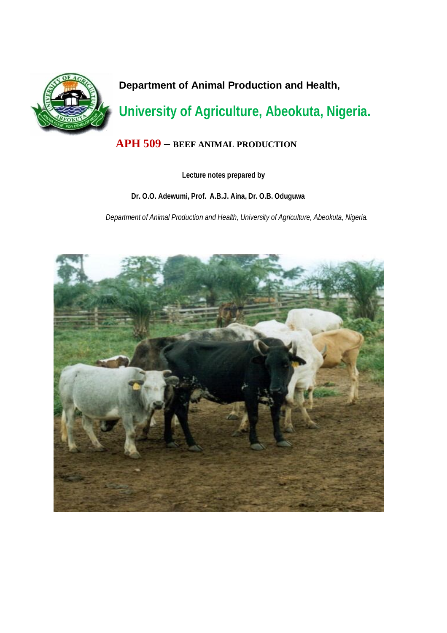

**Department of Animal Production and Health,**

# **University of Agriculture, Abeokuta, Nigeria.**

## **APH 509 – BEEF ANIMAL PRODUCTION**

## **Lecture notes prepared by**

## **Dr. O.O. Adewumi, Prof. A.B.J. Aina, Dr. O.B. Oduguwa**

*Department of Animal Production and Health, University of Agriculture, Abeokuta, Nigeria.*

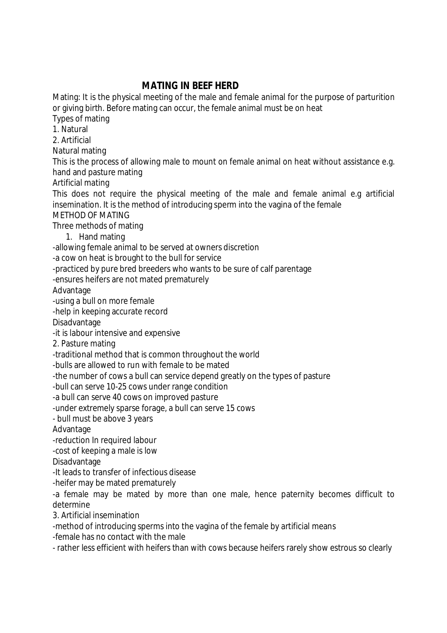## **MATING IN BEEF HERD**

Mating: It is the physical meeting of the male and female animal for the purpose of parturition or giving birth. Before mating can occur, the female animal must be on heat

Types of mating

1. Natural

2. Artificial

Natural mating

This is the process of allowing male to mount on female animal on heat without assistance e.g. hand and pasture mating

Artificial mating

This does not require the physical meeting of the male and female animal e.g artificial insemination. It is the method of introducing sperm into the vagina of the female

METHOD OF MATING

Three methods of mating

1. Hand mating

-allowing female animal to be served at owners discretion

-a cow on heat is brought to the bull for service

-practiced by pure bred breeders who wants to be sure of calf parentage

-ensures heifers are not mated prematurely

Advantage

-using a bull on more female

-help in keeping accurate record

Disadvantage

-it is labour intensive and expensive

2. Pasture mating

-traditional method that is common throughout the world

-bulls are allowed to run with female to be mated

-the number of cows a bull can service depend greatly on the types of pasture

-bull can serve 10-25 cows under range condition

-a bull can serve 40 cows on improved pasture

-under extremely sparse forage, a bull can serve 15 cows

- bull must be above 3 years

Advantage

-reduction In required labour

-cost of keeping a male is low

Disadvantage

-It leads to transfer of infectious disease

-heifer may be mated prematurely

-a female may be mated by more than one male, hence paternity becomes difficult to determine

3. Artificial insemination

-method of introducing sperms into the vagina of the female by artificial means

-female has no contact with the male

- rather less efficient with heifers than with cows because heifers rarely show estrous so clearly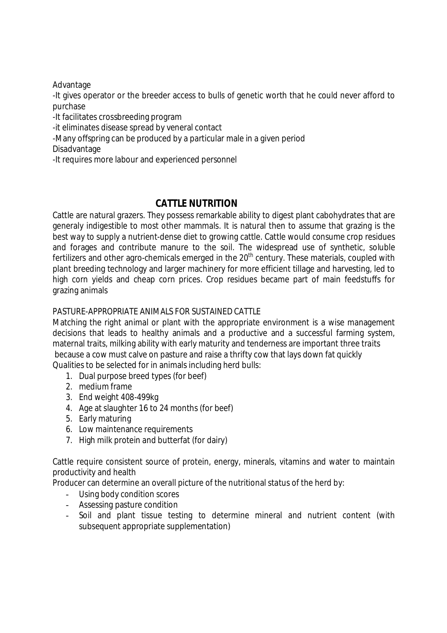Advantage

-It gives operator or the breeder access to bulls of genetic worth that he could never afford to purchase

-It facilitates crossbreeding program

-it eliminates disease spread by veneral contact

-Many offspring can be produced by a particular male in a given period

Disadvantage

-It requires more labour and experienced personnel

## **CATTLE NUTRITION**

Cattle are natural grazers. They possess remarkable ability to digest plant cabohydrates that are generaly indigestible to most other mammals. It is natural then to assume that grazing is the best way to supply a nutrient-dense diet to growing cattle. Cattle would consume crop residues and forages and contribute manure to the soil. The widespread use of synthetic, soluble fertilizers and other agro-chemicals emerged in the  $20<sup>th</sup>$  century. These materials, coupled with plant breeding technology and larger machinery for more efficient tillage and harvesting, led to high corn yields and cheap corn prices. Crop residues became part of main feedstuffs for grazing animals

## PASTURE-APPROPRIATE ANIMALS FOR SUSTAINED CATTLE

Matching the right animal or plant with the appropriate environment is a wise management decisions that leads to healthy animals and a productive and a successful farming system, maternal traits, milking ability with early maturity and tenderness are important three traits because a cow must calve on pasture and raise a thrifty cow that lays down fat quickly Qualities to be selected for in animals including herd bulls:

- 1. Dual purpose breed types (for beef)
- 2. medium frame
- 3. End weight 408-499kg
- 4. Age at slaughter 16 to 24 months (for beef)
- 5. Early maturing
- 6. Low maintenance requirements
- 7. High milk protein and butterfat (for dairy)

Cattle require consistent source of protein, energy, minerals, vitamins and water to maintain productivity and health

Producer can determine an overall picture of the nutritional status of the herd by:

- Using body condition scores
- Assessing pasture condition
- Soil and plant tissue testing to determine mineral and nutrient content (with subsequent appropriate supplementation)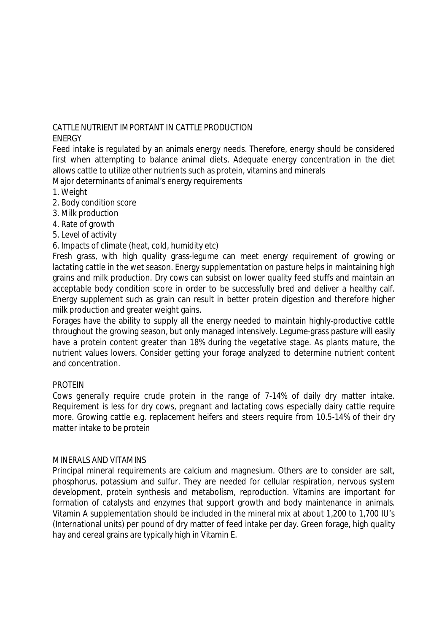## CATTLE NUTRIENT IMPORTANT IN CATTLE PRODUCTION

## ENERGY

Feed intake is regulated by an animals energy needs. Therefore, energy should be considered first when attempting to balance animal diets. Adequate energy concentration in the diet allows cattle to utilize other nutrients such as protein, vitamins and minerals Major determinants of animal's energy requirements

- 1. Weight
- 2. Body condition score
- 3. Milk production
- 4. Rate of growth
- 5. Level of activity

## 6. Impacts of climate (heat, cold, humidity etc)

Fresh grass, with high quality grass-legume can meet energy requirement of growing or lactating cattle in the wet season. Energy supplementation on pasture helps in maintaining high grains and milk production. Dry cows can subsist on lower quality feed stuffs and maintain an acceptable body condition score in order to be successfully bred and deliver a healthy calf. Energy supplement such as grain can result in better protein digestion and therefore higher milk production and greater weight gains.

Forages have the ability to supply all the energy needed to maintain highly-productive cattle throughout the growing season, but only managed intensively. Legume-grass pasture will easily have a protein content greater than 18% during the vegetative stage. As plants mature, the nutrient values lowers. Consider getting your forage analyzed to determine nutrient content and concentration.

## **PROTEIN**

Cows generally require crude protein in the range of 7-14% of daily dry matter intake. Requirement is less for dry cows, pregnant and lactating cows especially dairy cattle require more. Growing cattle e.g. replacement heifers and steers require from 10.5-14% of their dry matter intake to be protein

## MINERALS AND VITAMINS

Principal mineral requirements are calcium and magnesium. Others are to consider are salt, phosphorus, potassium and sulfur. They are needed for cellular respiration, nervous system development, protein synthesis and metabolism, reproduction. Vitamins are important for formation of catalysts and enzymes that support growth and body maintenance in animals. Vitamin A supplementation should be included in the mineral mix at about 1,200 to 1,700 IU's (International units) per pound of dry matter of feed intake per day. Green forage, high quality hay and cereal grains are typically high in Vitamin E.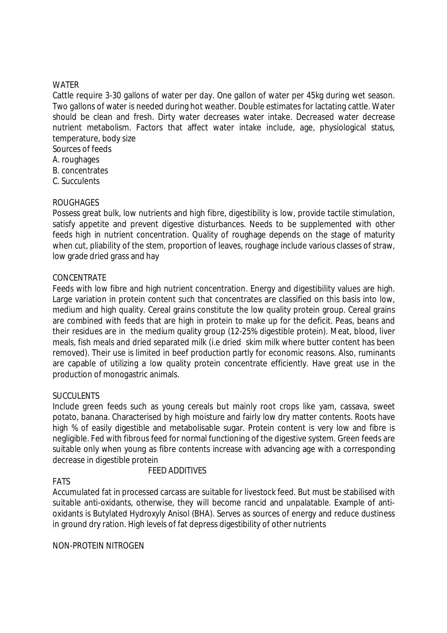### WATER

Cattle require 3-30 gallons of water per day. One gallon of water per 45kg during wet season. Two gallons of water is needed during hot weather. Double estimates for lactating cattle. Water should be clean and fresh. Dirty water decreases water intake. Decreased water decrease nutrient metabolism. Factors that affect water intake include, age, physiological status, temperature, body size

Sources of feeds

- A. roughages
- B. concentrates
- C. Succulents

## **ROUGHAGES**

Possess great bulk, low nutrients and high fibre, digestibility is low, provide tactile stimulation, satisfy appetite and prevent digestive disturbances. Needs to be supplemented with other feeds high in nutrient concentration. Quality of roughage depends on the stage of maturity when cut, pliability of the stem, proportion of leaves, roughage include various classes of straw, low grade dried grass and hay

## CONCENTRATE

Feeds with low fibre and high nutrient concentration. Energy and digestibility values are high. Large variation in protein content such that concentrates are classified on this basis into low, medium and high quality. Cereal grains constitute the low quality protein group. Cereal grains are combined with feeds that are high in protein to make up for the deficit. Peas, beans and their residues are in the medium quality group (12-25% digestible protein). Meat, blood, liver meals, fish meals and dried separated milk (i.e dried skim milk where butter content has been removed). Their use is limited in beef production partly for economic reasons. Also, ruminants are capable of utilizing a low quality protein concentrate efficiently. Have great use in the production of monogastric animals.

## **SUCCULENTS**

Include green feeds such as young cereals but mainly root crops like yam, cassava, sweet potato, banana. Characterised by high moisture and fairly low dry matter contents. Roots have high % of easily digestible and metabolisable sugar. Protein content is very low and fibre is negligible. Fed with fibrous feed for normal functioning of the digestive system. Green feeds are suitable only when young as fibre contents increase with advancing age with a corresponding decrease in digestible protein

#### FEED ADDITIVES

## FATS

Accumulated fat in processed carcass are suitable for livestock feed. But must be stabilised with suitable anti-oxidants, otherwise, they will become rancid and unpalatable. Example of antioxidants is Butylated Hydroxyly Anisol (BHA). Serves as sources of energy and reduce dustiness in ground dry ration. High levels of fat depress digestibility of other nutrients

#### NON-PROTEIN NITROGEN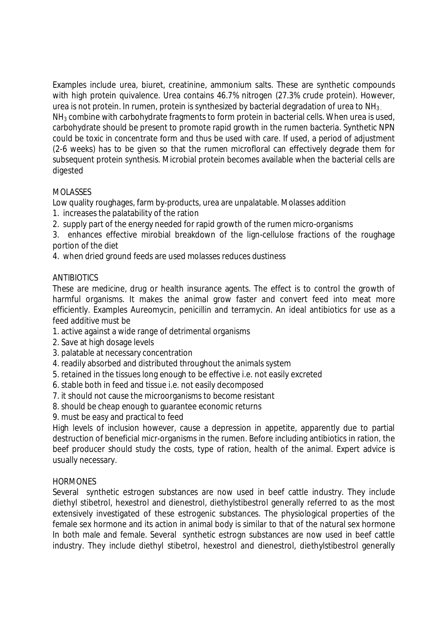Examples include urea, biuret, creatinine, ammonium salts. These are synthetic compounds with high protein quivalence. Urea contains 46.7% nitrogen (27.3% crude protein). However, urea is not protein. In rumen, protein is synthesized by bacterial degradation of urea to  $NH<sub>3</sub>$ .  $NH<sub>3</sub>$  combine with carbohydrate fragments to form protein in bacterial cells. When urea is used, carbohydrate should be present to promote rapid growth in the rumen bacteria. Synthetic NPN could be toxic in concentrate form and thus be used with care. If used, a period of adjustment (2-6 weeks) has to be given so that the rumen microfloral can effectively degrade them for subsequent protein synthesis. Microbial protein becomes available when the bacterial cells are digested

## MOLASSES

Low quality roughages, farm by-products, urea are unpalatable. Molasses addition

- 1. increases the palatability of the ration
- 2. supply part of the energy needed for rapid growth of the rumen micro-organisms

3. enhances effective mirobial breakdown of the lign-cellulose fractions of the roughage portion of the diet

4. when dried ground feeds are used molasses reduces dustiness

## **ANTIBIOTICS**

These are medicine, drug or health insurance agents. The effect is to control the growth of harmful organisms. It makes the animal grow faster and convert feed into meat more efficiently. Examples Aureomycin, penicillin and terramycin. An ideal antibiotics for use as a feed additive must be

- 1. active against a wide range of detrimental organisms
- 2. Save at high dosage levels
- 3. palatable at necessary concentration
- 4. readily absorbed and distributed throughout the animals system
- 5. retained in the tissues long enough to be effective i.e. not easily excreted
- 6. stable both in feed and tissue i.e. not easily decomposed
- 7. it should not cause the microorganisms to become resistant
- 8. should be cheap enough to guarantee economic returns
- 9. must be easy and practical to feed

High levels of inclusion however, cause a depression in appetite, apparently due to partial destruction of beneficial micr-organisms in the rumen. Before including antibiotics in ration, the beef producer should study the costs, type of ration, health of the animal. Expert advice is usually necessary.

## **HORMONES**

Several synthetic estrogen substances are now used in beef cattle industry. They include diethyl stibetrol, hexestrol and dienestrol, diethylstibestrol generally referred to as the most extensively investigated of these estrogenic substances. The physiological properties of the female sex hormone and its action in animal body is similar to that of the natural sex hormone In both male and female. Several synthetic estrogn substances are now used in beef cattle industry. They include diethyl stibetrol, hexestrol and dienestrol, diethylstibestrol generally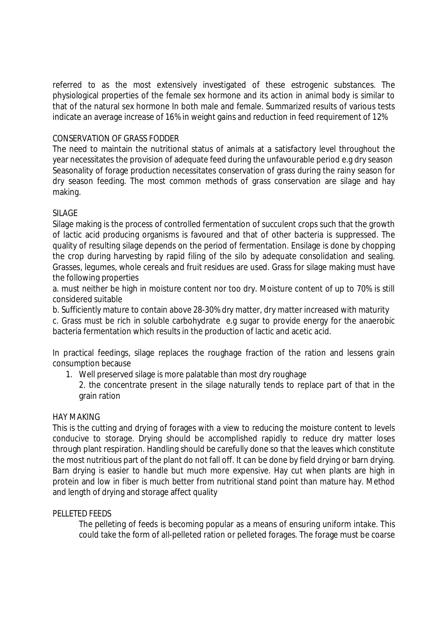referred to as the most extensively investigated of these estrogenic substances. The physiological properties of the female sex hormone and its action in animal body is similar to that of the natural sex hormone In both male and female. Summarized results of various tests indicate an average increase of 16% in weight gains and reduction in feed requirement of 12%

## CONSERVATION OF GRASS FODDER

The need to maintain the nutritional status of animals at a satisfactory level throughout the year necessitates the provision of adequate feed during the unfavourable period e.g dry season Seasonality of forage production necessitates conservation of grass during the rainy season for dry season feeding. The most common methods of grass conservation are silage and hay making.

### SILAGE

Silage making is the process of controlled fermentation of succulent crops such that the growth of lactic acid producing organisms is favoured and that of other bacteria is suppressed. The quality of resulting silage depends on the period of fermentation. Ensilage is done by chopping the crop during harvesting by rapid filing of the silo by adequate consolidation and sealing. Grasses, legumes, whole cereals and fruit residues are used. Grass for silage making must have the following properties

a. must neither be high in moisture content nor too dry. Moisture content of up to 70% is still considered suitable

b. Sufficiently mature to contain above 28-30% dry matter, dry matter increased with maturity

c. Grass must be rich in soluble carbohydrate e.g sugar to provide energy for the anaerobic bacteria fermentation which results in the production of lactic and acetic acid.

In practical feedings, silage replaces the roughage fraction of the ration and lessens grain consumption because

- 1. Well preserved silage is more palatable than most dry roughage
	- 2. the concentrate present in the silage naturally tends to replace part of that in the grain ration

#### HAY MAKING

This is the cutting and drying of forages with a view to reducing the moisture content to levels conducive to storage. Drying should be accomplished rapidly to reduce dry matter loses through plant respiration. Handling should be carefully done so that the leaves which constitute the most nutritious part of the plant do not fall off. It can be done by field drying or barn drying. Barn drying is easier to handle but much more expensive. Hay cut when plants are high in protein and low in fiber is much better from nutritional stand point than mature hay. Method and length of drying and storage affect quality

#### PELLETED FEEDS

The pelleting of feeds is becoming popular as a means of ensuring uniform intake. This could take the form of all-pelleted ration or pelleted forages. The forage must be coarse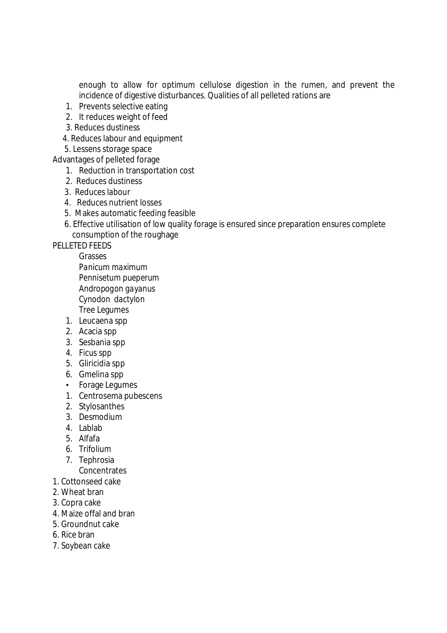enough to allow for optimum cellulose digestion in the rumen, and prevent the incidence of digestive disturbances. Qualities of all pelleted rations are

- 1. Prevents selective eating
- 2. It reduces weight of feed
- 3. Reduces dustiness
- 4. Reduces labour and equipment
- 5. Lessens storage space
- Advantages of pelleted forage
	- 1. Reduction in transportation cost
	- 2. Reduces dustiness
	- 3. Reduces labour
	- 4. Reduces nutrient losses
	- 5. Makes automatic feeding feasible
	- 6. Effective utilisation of low quality forage is ensured since preparation ensures complete consumption of the roughage

## PELLETED FEEDS

Grasses *Panicum maximum Pennisetum pueperum Andropogon gayanus Cynodon dactylon*  Tree Legumes

- 1. Leucaena spp
- 2. Acacia spp
- 3. Sesbania spp
- 4. Ficus spp
- 5. Gliricidia spp
- 6. Gmelina spp
- Forage Legumes
- 1. Centrosema pubescens
- 2. Stylosanthes
- 3. Desmodium
- 4. Lablab
- 5. Alfafa
- 6. Trifolium
- 7. Tephrosia
- **Concentrates**
- 1. Cottonseed cake
- 2. Wheat bran
- 3. Copra cake
- 4. Maize offal and bran
- 5. Groundnut cake
- 6. Rice bran
- 7. Soybean cake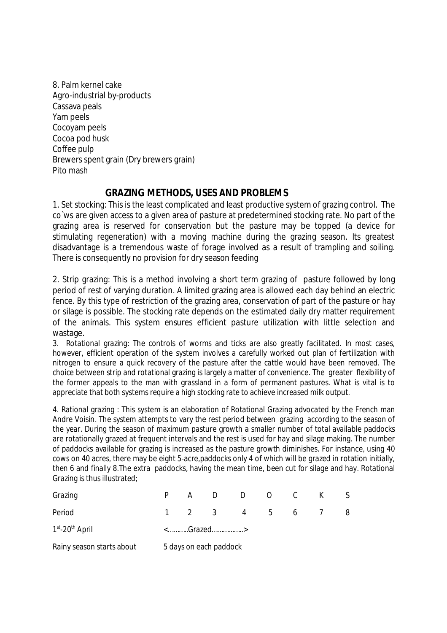8. Palm kernel cake Agro-industrial by-products Cassava peals Yam peels Cocoyam peels Cocoa pod husk Coffee pulp Brewers spent grain (Dry brewers grain) Pito mash

## **GRAZING METHODS, USES AND PROBLEMS**

1. Set stocking: This is the least complicated and least productive system of grazing control. The co`ws are given access to a given area of pasture at predetermined stocking rate. No part of the grazing area is reserved for conservation but the pasture may be topped (a device for stimulating regeneration) with a moving machine during the grazing season. Its greatest disadvantage is a tremendous waste of forage involved as a result of trampling and soiling. There is consequently no provision for dry season feeding

2. Strip grazing: This is a method involving a short term grazing of pasture followed by long period of rest of varying duration. A limited grazing area is allowed each day behind an electric fence. By this type of restriction of the grazing area, conservation of part of the pasture or hay or silage is possible. The stocking rate depends on the estimated daily dry matter requirement of the animals. This system ensures efficient pasture utilization with little selection and wastage.

3. Rotational grazing: The controls of worms and ticks are also greatly facilitated. In most cases, however, efficient operation of the system involves a carefully worked out plan of fertilization with nitrogen to ensure a quick recovery of the pasture after the cattle would have been removed. The choice between strip and rotational grazing is largely a matter of convenience. The greater flexibility of the former appeals to the man with grassland in a form of permanent pastures. What is vital is to appreciate that both systems require a high stocking rate to achieve increased milk output.

4. Rational grazing : This system is an elaboration of Rotational Grazing advocated by the French man Andre Voisin. The system attempts to vary the rest period between grazing according to the season of the year. During the season of maximum pasture growth a smaller number of total available paddocks are rotationally grazed at frequent intervals and the rest is used for hay and silage making. The number of paddocks available for grazing is increased as the pasture growth diminishes. For instance, using 40 cows on 40 acres, there may be eight 5-acre,paddocks only 4 of which will be grazed in rotation initially, then 6 and finally 8.The extra paddocks, having the mean time, been cut for silage and hay. Rotational Grazing is thus illustrated;

| Grazing                       |                        |  |  | A D D O C K     |  |  |  | S. |  |
|-------------------------------|------------------------|--|--|-----------------|--|--|--|----|--|
| Period                        |                        |  |  | 1 2 3 4 5 6 7 8 |  |  |  |    |  |
| $1st$ -20 <sup>th</sup> April | <grazed></grazed>      |  |  |                 |  |  |  |    |  |
| Rainy season starts about     | 5 days on each paddock |  |  |                 |  |  |  |    |  |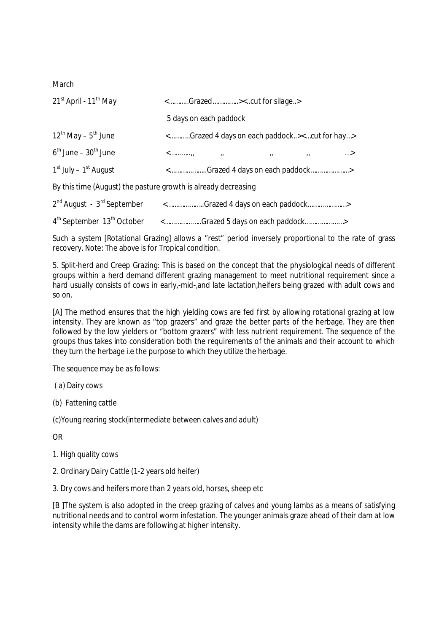**March** 

| 21 <sup>st</sup> April - 11 <sup>th</sup> May                                                              | <grazed><cut for="" silage=""></cut></grazed>           |                                                                                  |                 |              |            |  |  |  |
|------------------------------------------------------------------------------------------------------------|---------------------------------------------------------|----------------------------------------------------------------------------------|-----------------|--------------|------------|--|--|--|
|                                                                                                            | 5 days on each paddock                                  |                                                                                  |                 |              |            |  |  |  |
| $12^{th}$ May – $5^{th}$ June                                                                              |                                                         | <grazed 4="" days="" each="" on="" paddock=""><cut for="" hay=""></cut></grazed> |                 |              |            |  |  |  |
| $6^{\text{th}}$ June – 30 <sup>th</sup> June                                                               | $\langle$ <sub>11</sub>                                 | $\overline{u}$                                                                   | $\overline{11}$ | $\mathbf{H}$ | $\ldots$ > |  |  |  |
| $1st$ July – $1st$ August                                                                                  |                                                         | <grazed 4="" days="" each="" on="" paddock=""></grazed>                          |                 |              |            |  |  |  |
| By this time (August) the pasture growth is already decreasing                                             |                                                         |                                                                                  |                 |              |            |  |  |  |
| 2 <sup>nd</sup> August - 3 <sup>rd</sup> September <grazed 4="" days="" each="" on="" paddock=""></grazed> |                                                         |                                                                                  |                 |              |            |  |  |  |
| 4 <sup>th</sup> September 13 <sup>th</sup> October                                                         | <grazed 5="" days="" each="" on="" paddock=""></grazed> |                                                                                  |                 |              |            |  |  |  |

Such a system [Rotational Grazing] allows a "rest" period inversely proportional to the rate of grass recovery. Note: The above is for Tropical condition.

5. Split-herd and Creep Grazing: This is based on the concept that the physiological needs of different groups within a herd demand different grazing management to meet nutritional requirement since a hard usually consists of cows in early,-mid-,and late lactation,heifers being grazed with adult cows and so on.

[A] The method ensures that the high yielding cows are fed first by allowing rotational grazing at low intensity. They are known as "top grazers" and graze the better parts of the herbage. They are then followed by the low yielders or "bottom grazers" with less nutrient requirement. The sequence of the groups thus takes into consideration both the requirements of the animals and their account to which they turn the herbage i.e the purpose to which they utilize the herbage.

The sequence may be as follows:

- ( a) Dairy cows
- (b) Fattening cattle

(c)Young rearing stock(intermediate between calves and adult)

OR

- 1. High quality cows
- 2. Ordinary Dairy Cattle (1-2 years old heifer)

3. Dry cows and heifers more than 2 years old, horses, sheep etc

[B ]The system is also adopted in the creep grazing of calves and young lambs as a means of satisfying nutritional needs and to control worm infestation. The younger animals graze ahead of their dam at low intensity while the dams are following at higher intensity.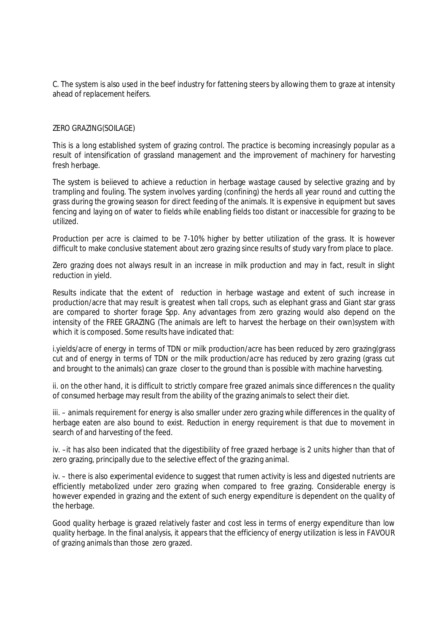C. The system is also used in the beef industry for fattening steers by allowing them to graze at intensity ahead of replacement heifers.

#### ZERO GRAZING(SOILAGE)

This is a long established system of grazing control. The practice is becoming increasingly popular as a result of intensification of grassland management and the improvement of machinery for harvesting fresh herbage.

The system is beiieved to achieve a reduction in herbage wastage caused by selective grazing and by trampling and fouling. The system involves yarding (confining) the herds all year round and cutting the grass during the growing season for direct feeding of the animals. It is expensive in equipment but saves fencing and laying on of water to fields while enabling fields too distant or inaccessible for grazing to be utilized.

Production per acre is claimed to be 7-10% higher by better utilization of the grass. It is however difficult to make conclusive statement about zero grazing since results of study vary from place to place.

Zero grazing does not always result in an increase in milk production and may in fact, result in slight reduction in yield.

Results indicate that the extent of reduction in herbage wastage and extent of such increase in production/acre that may result is greatest when tall crops, such as elephant grass and Giant star grass are compared to shorter forage Spp. Any advantages from zero grazing would also depend on the intensity of the FREE GRAZING (The animals are left to harvest the herbage on their own)system with which it is composed. Some results have indicated that:

i.yields/acre of energy in terms of TDN or milk production/acre has been reduced by zero grazing(grass cut and of energy in terms of TDN or the milk production/acre has reduced by zero grazing (grass cut and brought to the animals) can graze closer to the ground than is possible with machine harvesting.

ii. on the other hand, it is difficult to strictly compare free grazed animals since differences n the quality of consumed herbage may result from the ability of the grazing animals to select their diet.

iii. – animals requirement for energy is also smaller under zero grazing while differences in the quality of herbage eaten are also bound to exist. Reduction in energy requirement is that due to movement in search of and harvesting of the feed.

iv. –it has also been indicated that the digestibility of free grazed herbage is 2 units higher than that of zero grazing, principally due to the selective effect of the grazing animal.

iv. – there is also experimental evidence to suggest that rumen activity is less and digested nutrients are efficiently metabolized under zero grazing when compared to free grazing. Considerable energy is however expended in grazing and the extent of such energy expenditure is dependent on the quality of the herbage.

Good quality herbage is grazed relatively faster and cost less in terms of energy expenditure than low quality herbage. In the final analysis, it appears that the efficiency of energy utilization is less in FAVOUR of grazing animals than those zero grazed.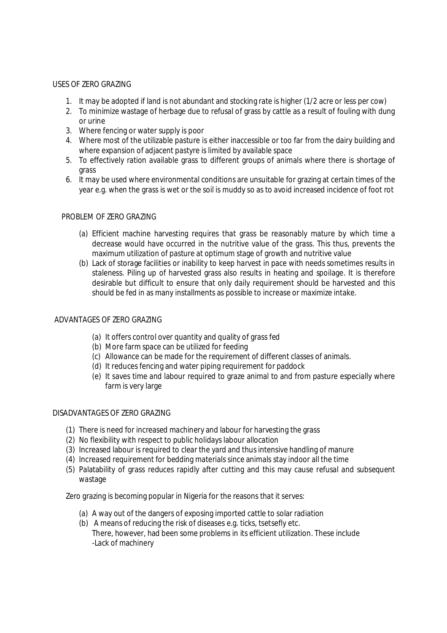#### USES OF ZERO GRAZING

- 1. It may be adopted if land is not abundant and stocking rate is higher (1/2 acre or less per cow)
- 2. To minimize wastage of herbage due to refusal of grass by cattle as a result of fouling with dung or urine
- 3. Where fencing or water supply is poor
- 4. Where most of the utilizable pasture is either inaccessible or too far from the dairy building and where expansion of adjacent pastyre is limited by available space
- 5. To effectively ration available grass to different groups of animals where there is shortage of grass
- 6. It may be used where environmental conditions are unsuitable for grazing at certain times of the year e.g. when the grass is wet or the soil is muddy so as to avoid increased incidence of foot rot

#### PROBLEM OF ZERO GRAZING

- (a) Efficient machine harvesting requires that grass be reasonably mature by which time a decrease would have occurred in the nutritive value of the grass. This thus, prevents the maximum utilization of pasture at optimum stage of growth and nutritive value
- (b) Lack of storage facilities or inability to keep harvest in pace with needs sometimes results in staleness. Piling up of harvested grass also results in heating and spoilage. It is therefore desirable but difficult to ensure that only daily requirement should be harvested and this should be fed in as many installments as possible to increase or maximize intake.

#### ADVANTAGES OF ZERO GRAZING

- (a) It offers control over quantity and quality of grass fed
- (b) More farm space can be utilized for feeding
- (c) Allowance can be made for the requirement of different classes of animals.
- (d) It reduces fencing and water piping requirement for paddock
- (e) It saves time and labour required to graze animal to and from pasture especially where farm is very large

#### DISADVANTAGES OF ZERO GRAZING

- (1) There is need for increased machinery and labour for harvesting the grass
- (2) No flexibility with respect to public holidays labour allocation
- (3) Increased labour is required to clear the yard and thus intensive handling of manure
- (4) Increased requirement for bedding materials since animals stay indoor all the time
- (5) Palatability of grass reduces rapidly after cutting and this may cause refusal and subsequent wastage

Zero grazing is becoming popular in Nigeria for the reasons that it serves:

- (a) A way out of the dangers of exposing imported cattle to solar radiation
- (b) A means of reducing the risk of diseases e.g. ticks, tsetsefly etc. There, however, had been some problems in its efficient utilization. These include -Lack of machinery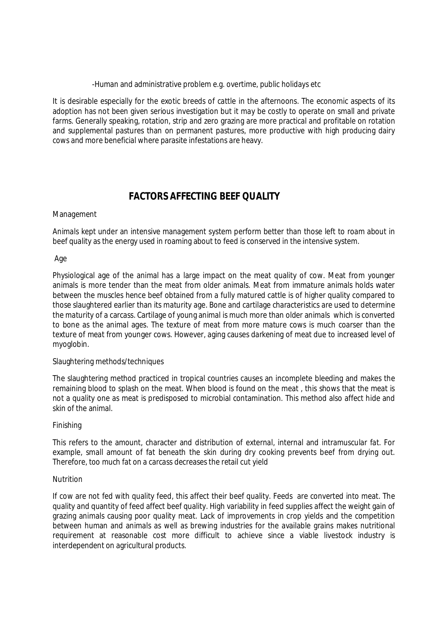-Human and administrative problem e.g. overtime, public holidays etc

It is desirable especially for the exotic breeds of cattle in the afternoons. The economic aspects of its adoption has not been given serious investigation but it may be costly to operate on small and private farms. Generally speaking, rotation, strip and zero grazing are more practical and profitable on rotation and supplemental pastures than on permanent pastures, more productive with high producing dairy cows and more beneficial where parasite infestations are heavy.

## **FACTORS AFFECTING BEEF QUALITY**

#### Management

Animals kept under an intensive management system perform better than those left to roam about in beef quality as the energy used in roaming about to feed is conserved in the intensive system.

#### Age

Physiological age of the animal has a large impact on the meat quality of cow. Meat from younger animals is more tender than the meat from older animals. Meat from immature animals holds water between the muscles hence beef obtained from a fully matured cattle is of higher quality compared to those slaughtered earlier than its maturity age. Bone and cartilage characteristics are used to determine the maturity of a carcass. Cartilage of young animal is much more than older animals which is converted to bone as the animal ages. The texture of meat from more mature cows is much coarser than the texture of meat from younger cows. However, aging causes darkening of meat due to increased level of myoglobin.

#### Slaughtering methods/techniques

The slaughtering method practiced in tropical countries causes an incomplete bleeding and makes the remaining blood to splash on the meat. When blood is found on the meat , this shows that the meat is not a quality one as meat is predisposed to microbial contamination. This method also affect hide and skin of the animal.

#### Finishing

This refers to the amount, character and distribution of external, internal and intramuscular fat. For example, small amount of fat beneath the skin during dry cooking prevents beef from drying out. Therefore, too much fat on a carcass decreases the retail cut yield

#### **Nutrition**

If cow are not fed with quality feed, this affect their beef quality. Feeds are converted into meat. The quality and quantity of feed affect beef quality. High variability in feed supplies affect the weight gain of grazing animals causing poor quality meat. Lack of improvements in crop yields and the competition between human and animals as well as brewing industries for the available grains makes nutritional requirement at reasonable cost more difficult to achieve since a viable livestock industry is interdependent on agricultural products.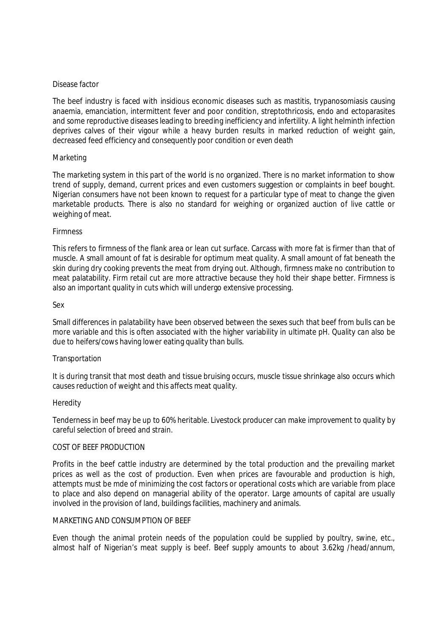#### Disease factor

The beef industry is faced with insidious economic diseases such as mastitis, trypanosomiasis causing anaemia, emanciation, intermittent fever and poor condition, streptothricosis, endo and ectoparasites and some reproductive diseases leading to breeding inefficiency and infertility. A light helminth infection deprives calves of their vigour while a heavy burden results in marked reduction of weight gain, decreased feed efficiency and consequently poor condition or even death

#### Marketing

The marketing system in this part of the world is no organized. There is no market information to show trend of supply, demand, current prices and even customers suggestion or complaints in beef bought. Nigerian consumers have not been known to request for a particular type of meat to change the given marketable products. There is also no standard for weighing or organized auction of live cattle or weighing of meat.

#### Firmness

This refers to firmness of the flank area or lean cut surface. Carcass with more fat is firmer than that of muscle. A small amount of fat is desirable for optimum meat quality. A small amount of fat beneath the skin during dry cooking prevents the meat from drying out. Although, firmness make no contribution to meat palatability. Firm retail cut are more attractive because they hold their shape better. Firmness is also an important quality in cuts which will undergo extensive processing.

#### Sex

Small differences in palatability have been observed between the sexes such that beef from bulls can be more variable and this is often associated with the higher variability in ultimate pH. Quality can also be due to heifers/cows having lower eating quality than bulls.

#### Transportation

It is during transit that most death and tissue bruising occurs, muscle tissue shrinkage also occurs which causes reduction of weight and this affects meat quality.

#### Heredity

Tenderness in beef may be up to 60% heritable. Livestock producer can make improvement to quality by careful selection of breed and strain.

#### COST OF BEEF PRODUCTION

Profits in the beef cattle industry are determined by the total production and the prevailing market prices as well as the cost of production. Even when prices are favourable and production is high, attempts must be mde of minimizing the cost factors or operational costs which are variable from place to place and also depend on managerial ability of the operator. Large amounts of capital are usually involved in the provision of land, buildings facilities, machinery and animals.

#### MARKETING AND CONSUMPTION OF BEEF

Even though the animal protein needs of the population could be supplied by poultry, swine, etc., almost half of Nigerian's meat supply is beef. Beef supply amounts to about 3.62kg /head/annum,